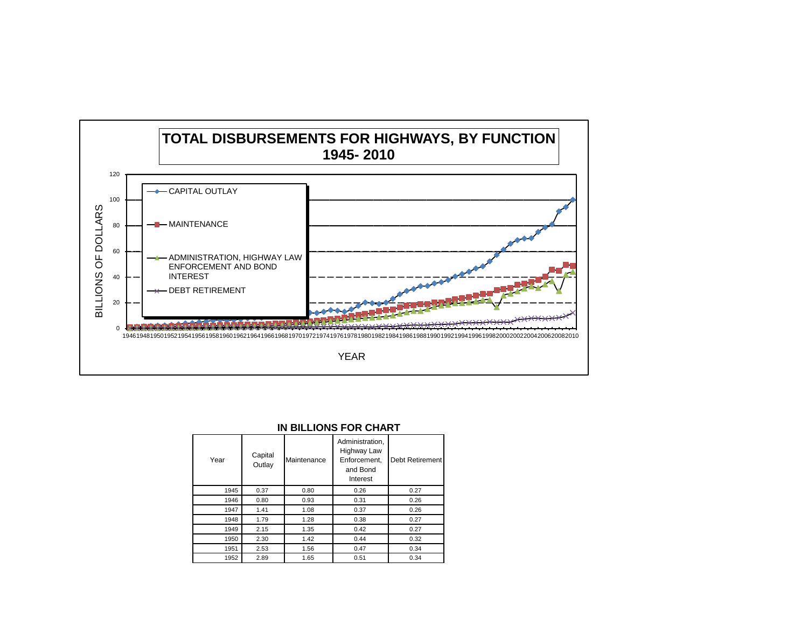

| IN BILLIONS FOR CHART |  |
|-----------------------|--|
|-----------------------|--|

| Year | Capital<br>Outlay | Maintenance | Administration,<br>Highway Law<br>Enforcement.<br>and Bond<br>Interest | Debt Retirement |
|------|-------------------|-------------|------------------------------------------------------------------------|-----------------|
| 1945 | 0.37              | 0.80        | 0.26                                                                   | 0.27            |
| 1946 | 0.80              | 0.93        | 0.31                                                                   | 0.26            |
| 1947 | 1.41              | 1.08        | 0.37                                                                   | 0.26            |
| 1948 | 1.79              | 1.28        | 0.38                                                                   | 0.27            |
| 1949 | 2.15              | 1.35        | 0.42                                                                   | 0.27            |
| 1950 | 2.30              | 1.42        | 0.44                                                                   | 0.32            |
| 1951 | 2.53              | 1.56        | 0.47                                                                   | 0.34            |
| 1952 | 2.89              | 1.65        | 0.51                                                                   | 0.34            |